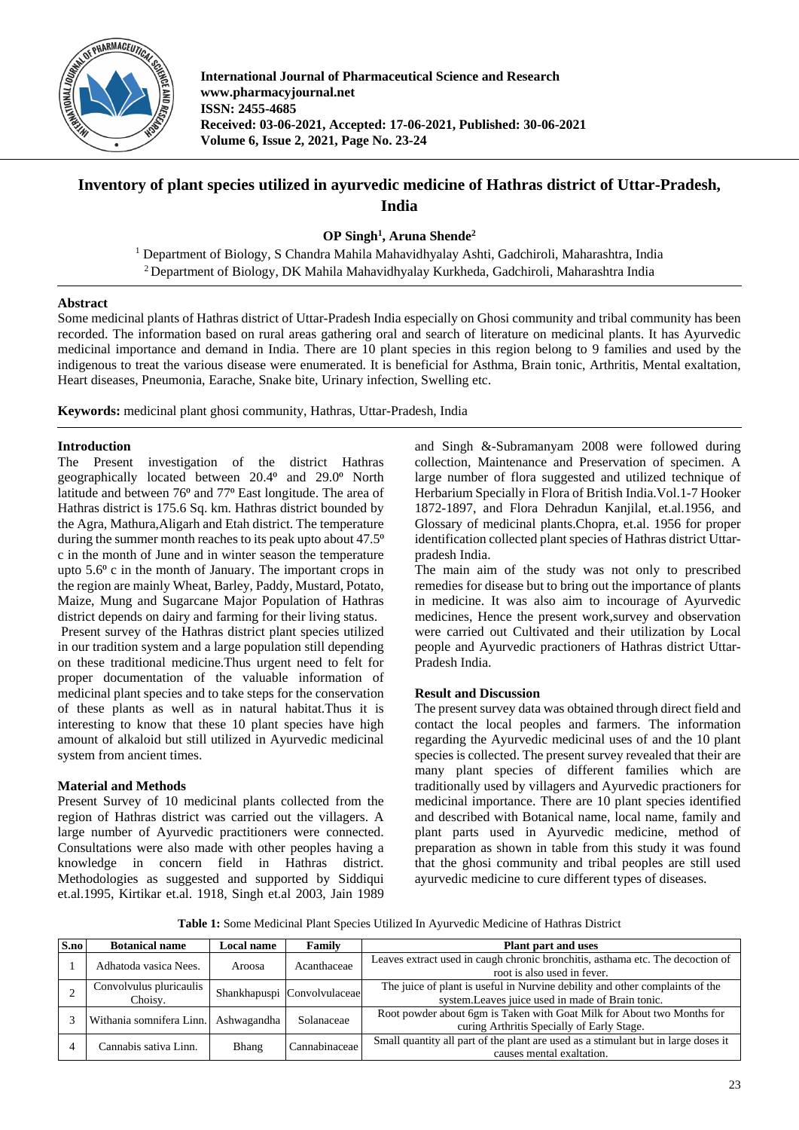

**International Journal of Pharmaceutical Science and Research www.pharmacyjournal.net ISSN: 2455-4685 Received: 03-06-2021, Accepted: 17-06-2021, Published: 30-06-2021 Volume 6, Issue 2, 2021, Page No. 23-24**

# **Inventory of plant species utilized in ayurvedic medicine of Hathras district of Uttar-Pradesh, India**

**OP Singh<sup>1</sup> , Aruna Shende<sup>2</sup>**

<sup>1</sup> Department of Biology, S Chandra Mahila Mahavidhyalay Ashti, Gadchiroli, Maharashtra, India <sup>2</sup>Department of Biology, DK Mahila Mahavidhyalay Kurkheda, Gadchiroli, Maharashtra India

## **Abstract**

Some medicinal plants of Hathras district of Uttar-Pradesh India especially on Ghosi community and tribal community has been recorded. The information based on rural areas gathering oral and search of literature on medicinal plants. It has Ayurvedic medicinal importance and demand in India. There are 10 plant species in this region belong to 9 families and used by the indigenous to treat the various disease were enumerated. It is beneficial for Asthma, Brain tonic, Arthritis, Mental exaltation, Heart diseases, Pneumonia, Earache, Snake bite, Urinary infection, Swelling etc.

**Keywords:** medicinal plant ghosi community, Hathras, Uttar-Pradesh, India

## **Introduction**

The Present investigation of the district Hathras geographically located between 20.4<sup>o</sup> and 29.0<sup>o</sup> North latitude and between 76<sup>°</sup> and 77<sup>°</sup> East longitude. The area of Hathras district is 175.6 Sq. km. Hathras district bounded by the Agra, Mathura,Aligarh and Etah district. The temperature during the summer month reaches to its peak upto about 47.5<sup>o</sup> c in the month of June and in winter season the temperature upto  $5.6^\circ$  c in the month of January. The important crops in the region are mainly Wheat, Barley, Paddy, Mustard, Potato, Maize, Mung and Sugarcane Major Population of Hathras district depends on dairy and farming for their living status.

Present survey of the Hathras district plant species utilized in our tradition system and a large population still depending on these traditional medicine.Thus urgent need to felt for proper documentation of the valuable information of medicinal plant species and to take steps for the conservation of these plants as well as in natural habitat.Thus it is interesting to know that these 10 plant species have high amount of alkaloid but still utilized in Ayurvedic medicinal system from ancient times.

## **Material and Methods**

Present Survey of 10 medicinal plants collected from the region of Hathras district was carried out the villagers. A large number of Ayurvedic practitioners were connected. Consultations were also made with other peoples having a knowledge in concern field in Hathras district. Methodologies as suggested and supported by Siddiqui et.al.1995, Kirtikar et.al. 1918, Singh et.al 2003, Jain 1989

and Singh &-Subramanyam 2008 were followed during collection, Maintenance and Preservation of specimen. A large number of flora suggested and utilized technique of Herbarium Specially in Flora of British India.Vol.1-7 Hooker 1872-1897, and Flora Dehradun Kanjilal, et.al.1956, and Glossary of medicinal plants.Chopra, et.al. 1956 for proper identification collected plant species of Hathras district Uttarpradesh India.

The main aim of the study was not only to prescribed remedies for disease but to bring out the importance of plants in medicine. It was also aim to incourage of Ayurvedic medicines, Hence the present work,survey and observation were carried out Cultivated and their utilization by Local people and Ayurvedic practioners of Hathras district Uttar-Pradesh India.

## **Result and Discussion**

The present survey data was obtained through direct field and contact the local peoples and farmers. The information regarding the Ayurvedic medicinal uses of and the 10 plant species is collected. The present survey revealed that their are many plant species of different families which are traditionally used by villagers and Ayurvedic practioners for medicinal importance. There are 10 plant species identified and described with Botanical name, local name, family and plant parts used in Ayurvedic medicine, method of preparation as shown in table from this study it was found that the ghosi community and tribal peoples are still used ayurvedic medicine to cure different types of diseases.

**Table 1:** Some Medicinal Plant Species Utilized In Ayurvedic Medicine of Hathras District

| S.no | <b>Botanical name</b>                | Local name   | Family                      | <b>Plant part and uses</b>                                                                                                        |
|------|--------------------------------------|--------------|-----------------------------|-----------------------------------------------------------------------------------------------------------------------------------|
|      | Adhatoda vasica Nees.                | Aroosa       | Acanthaceae                 | Leaves extract used in caugh chronic bronchitis, asthama etc. The decoction of<br>root is also used in fever.                     |
|      | Convolvulus pluricaulis<br>Choisy.   |              | Shankhapuspi Convolvulaceae | The juice of plant is useful in Nurvine debility and other complaints of the<br>system. Leaves juice used in made of Brain tonic. |
|      | Withania somnifera Linn. Ashwagandha |              | Solanaceae                  | Root powder about 6gm is Taken with Goat Milk for About two Months for<br>curing Arthritis Specially of Early Stage.              |
|      | Cannabis sativa Linn.                | <b>Bhang</b> | Cannabinaceae               | Small quantity all part of the plant are used as a stimulant but in large doses it<br>causes mental exaltation.                   |